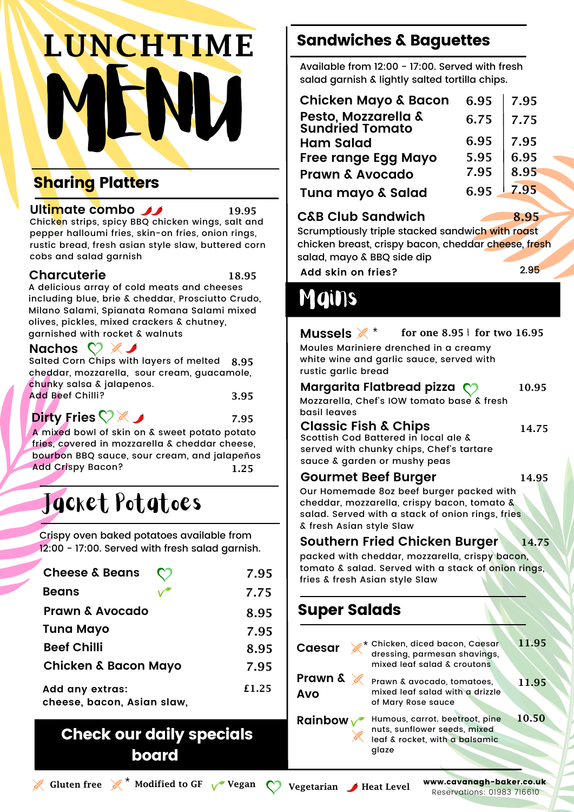# MENU LUNCHTIME

#### Sharing Platters

#### **Ultimate combo**

Chicken strips, spicy BBQ chicken wings, salt and pepper halloumi fries, skin-on fries, onion rings, rustic bread, fresh asian style slaw, buttered corn cobs and salad garnish

#### **Charcuterie**

18.95

19.95

A delicious array of cold meats and cheeses including blue, brie & cheddar, Prosciutto Crudo, Milano Salami, Spianata Romana Salami mixed olives, pickles, mixed crackers & chutney, garnished with rocket & walnuts

#### **Nachos**

Salted Corn Chips with layers of melted 8.95 cheddar, mozzarella, sour cream, guacamole, chunky salsa & jalapenos. Add Beef Chilli? 3.95

#### **Dirty Fries** ◯ *这*

7.95

A mixed bowl of skin on & sweet potato potato fries, covered in mozzarella & cheddar cheese, bourbon BBQ sauce, sour cream, and jalapeños Add Crispy Bacon? 1.25

## Jacket Potatoes

Crispy oven baked potatoes available from 12:00 - 17:00. Served with fresh salad garnish.

| <b>Cheese &amp; Beans</b>                     | 7.95  |
|-----------------------------------------------|-------|
| <b>Beans</b>                                  | 7.75  |
| <b>Prawn &amp; Avocado</b>                    | 8.95  |
| <b>Tuna Mayo</b>                              | 7.95  |
| <b>Beef Chilli</b>                            | 8.95  |
| <b>Chicken &amp; Bacon Mayo</b>               | 7.95  |
| Add any extras:<br>cheese, bacon, Asian slaw, | £1.25 |

#### Check our daily specials board

#### Sandwiches & Baguettes

Available from 12:00 - 17:00. Served with fresh salad garnish & lightly salted tortilla chips.

| 6.95 | 7.95 |
|------|------|
| 6.75 | 7.75 |
| 6.95 | 7.95 |
| 5.95 | 6.95 |
| 7.95 | 8.95 |
| 6.95 | 7.95 |
|      |      |

#### **C&B Club Sandwich**

chicken breast, crispy bacon, cheddar cheese, fresh Scrumptiously triple stacked sandwich with roast salad, mayo & BBQ side dip

8.95

**Add skin on fries?** 2.95

## **Mqins**

**Margarita Flatbread pizza** Mozzarella, Chef's IOW tomato base & fresh basil leaves 10.95 Mussels  $\mathbb{X}^*$ Moules Mariniere drenched in a creamy white wine and garlic sauce, served with rustic garlic bread for one  $8.95$  for two  $16.95$ **Classic Fish & Chips** Scottish Cod Battered in local ale & served with chunky chips, Chef's tartare sauce & garden or mushy peas 14.75 **Gourmet Beef Burger** Our Homemade 8oz beef burger packed with cheddar, mozzarella, crispy bacon, tomato & salad. Served with a stack of onion rings, fries & fresh Asian style Slaw 14.95

#### **Southern Fried Chicken Burger** 14.75

packed with cheddar, mozzarella, crispy bacon, tomato & salad. Served with a stack of onion rings, fries & fresh Asian style Slaw

#### Super Salads

| Caesar               | * Chicken, diced bacon, Caesar<br>dressing, parmesan shavings,<br>mixed leaf salad & croutons                                    | 11.95 |
|----------------------|----------------------------------------------------------------------------------------------------------------------------------|-------|
| <b>Avo</b>           | <b>Prawn &amp; <math>\mathbb{R}^n</math></b> Prawn & avocado, tomatoes,<br>mixed leaf salad with a drizzle<br>of Mary Rose sauce | 11.95 |
| Rainbow <sub>V</sub> | Humous, carrot. beetroot, pine<br>nuts, sunflower seeds, mixed<br>leaf & rocket, with a balsamic<br>alaze                        | 10.50 |